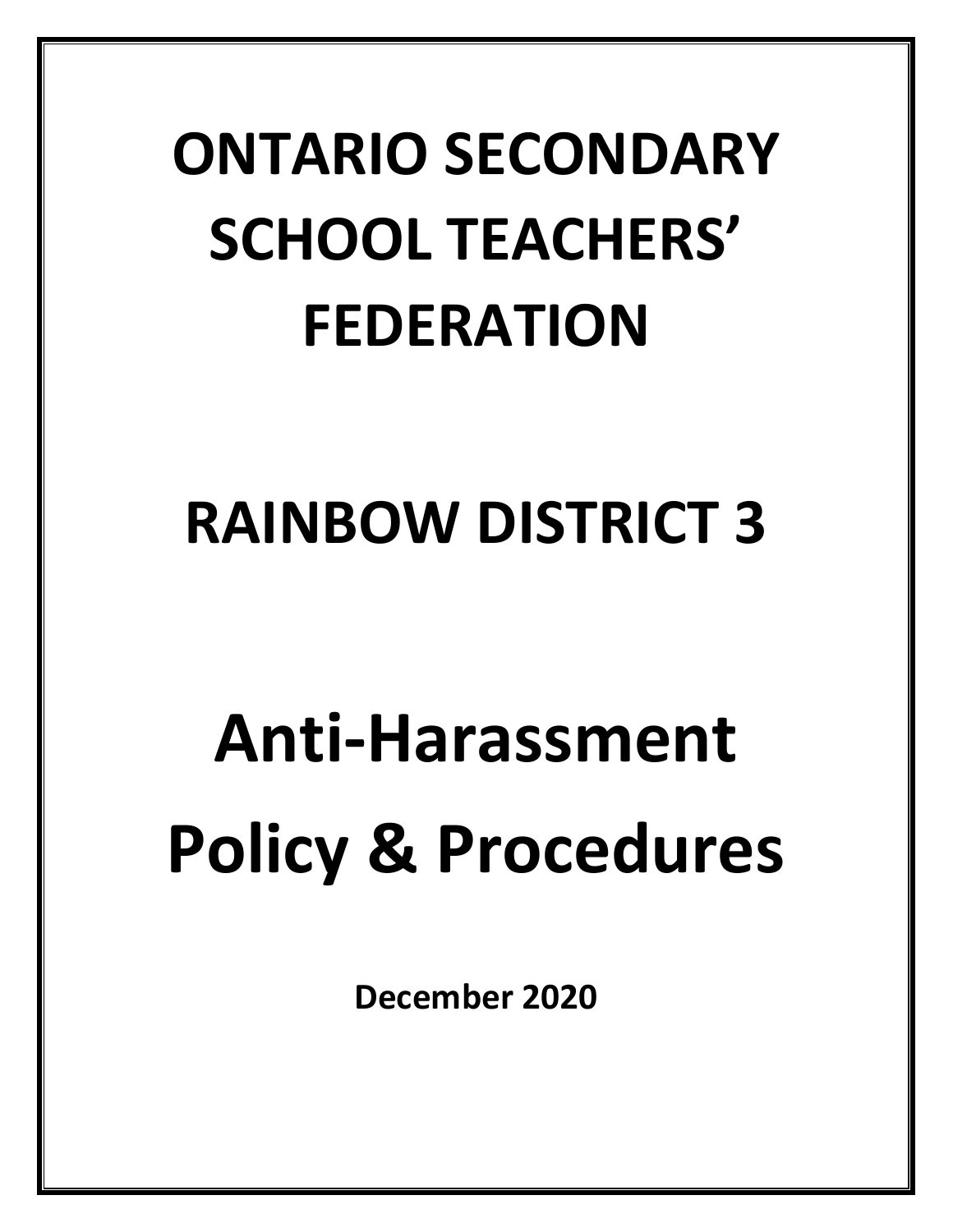## **ONTARIO SECONDARY SCHOOL TEACHERS' FEDERATION**

### **RAINBOW DISTRICT 3**

# **Anti-Harassment Policy & Procedures**

**December 2020**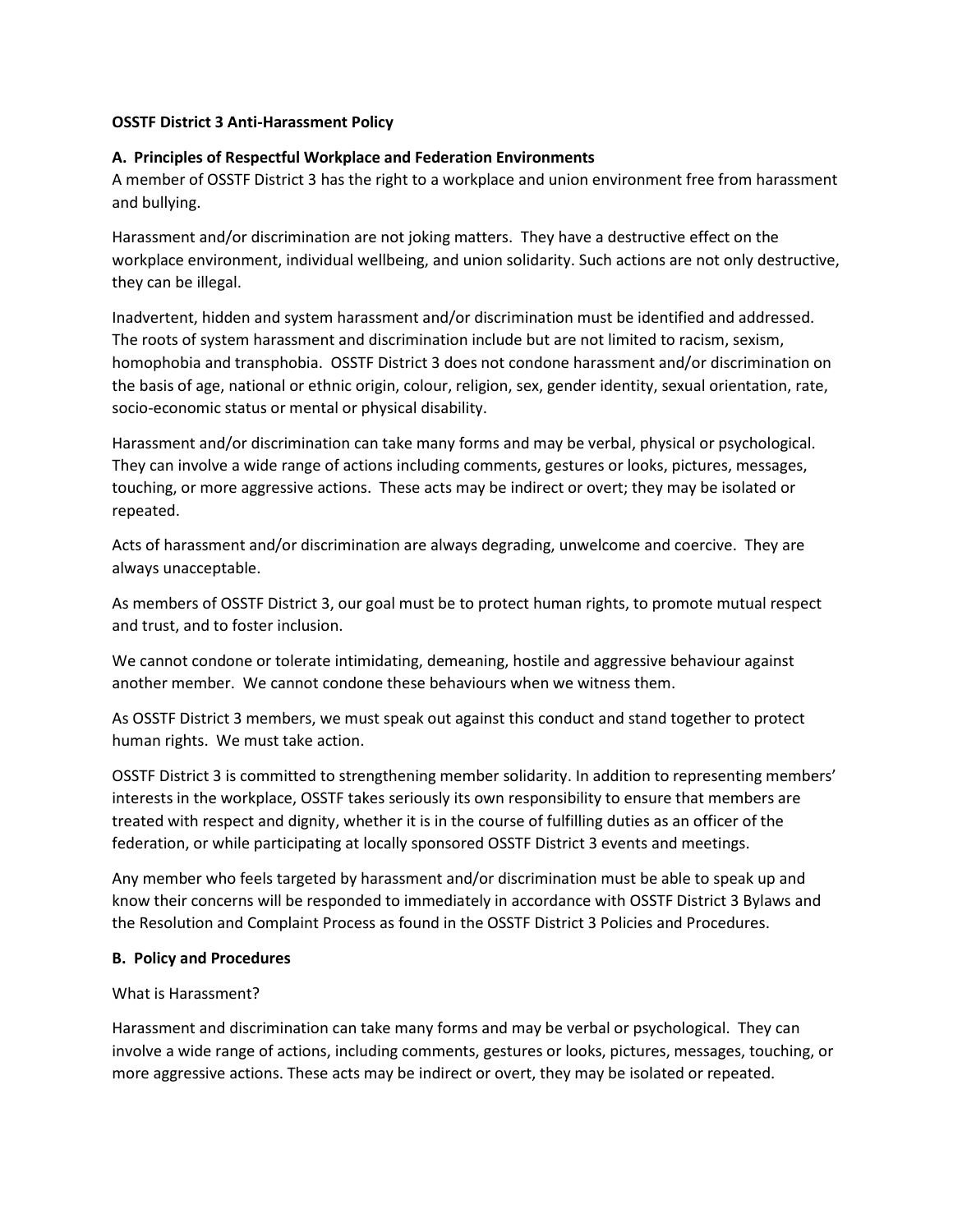#### **OSSTF District 3 Anti-Harassment Policy**

#### **A. Principles of Respectful Workplace and Federation Environments**

A member of OSSTF District 3 has the right to a workplace and union environment free from harassment and bullying.

Harassment and/or discrimination are not joking matters. They have a destructive effect on the workplace environment, individual wellbeing, and union solidarity. Such actions are not only destructive, they can be illegal.

Inadvertent, hidden and system harassment and/or discrimination must be identified and addressed. The roots of system harassment and discrimination include but are not limited to racism, sexism, homophobia and transphobia. OSSTF District 3 does not condone harassment and/or discrimination on the basis of age, national or ethnic origin, colour, religion, sex, gender identity, sexual orientation, rate, socio-economic status or mental or physical disability.

Harassment and/or discrimination can take many forms and may be verbal, physical or psychological. They can involve a wide range of actions including comments, gestures or looks, pictures, messages, touching, or more aggressive actions. These acts may be indirect or overt; they may be isolated or repeated.

Acts of harassment and/or discrimination are always degrading, unwelcome and coercive. They are always unacceptable.

As members of OSSTF District 3, our goal must be to protect human rights, to promote mutual respect and trust, and to foster inclusion.

We cannot condone or tolerate intimidating, demeaning, hostile and aggressive behaviour against another member. We cannot condone these behaviours when we witness them.

As OSSTF District 3 members, we must speak out against this conduct and stand together to protect human rights. We must take action.

OSSTF District 3 is committed to strengthening member solidarity. In addition to representing members' interests in the workplace, OSSTF takes seriously its own responsibility to ensure that members are treated with respect and dignity, whether it is in the course of fulfilling duties as an officer of the federation, or while participating at locally sponsored OSSTF District 3 events and meetings.

Any member who feels targeted by harassment and/or discrimination must be able to speak up and know their concerns will be responded to immediately in accordance with OSSTF District 3 Bylaws and the Resolution and Complaint Process as found in the OSSTF District 3 Policies and Procedures.

#### **B. Policy and Procedures**

#### What is Harassment?

Harassment and discrimination can take many forms and may be verbal or psychological. They can involve a wide range of actions, including comments, gestures or looks, pictures, messages, touching, or more aggressive actions. These acts may be indirect or overt, they may be isolated or repeated.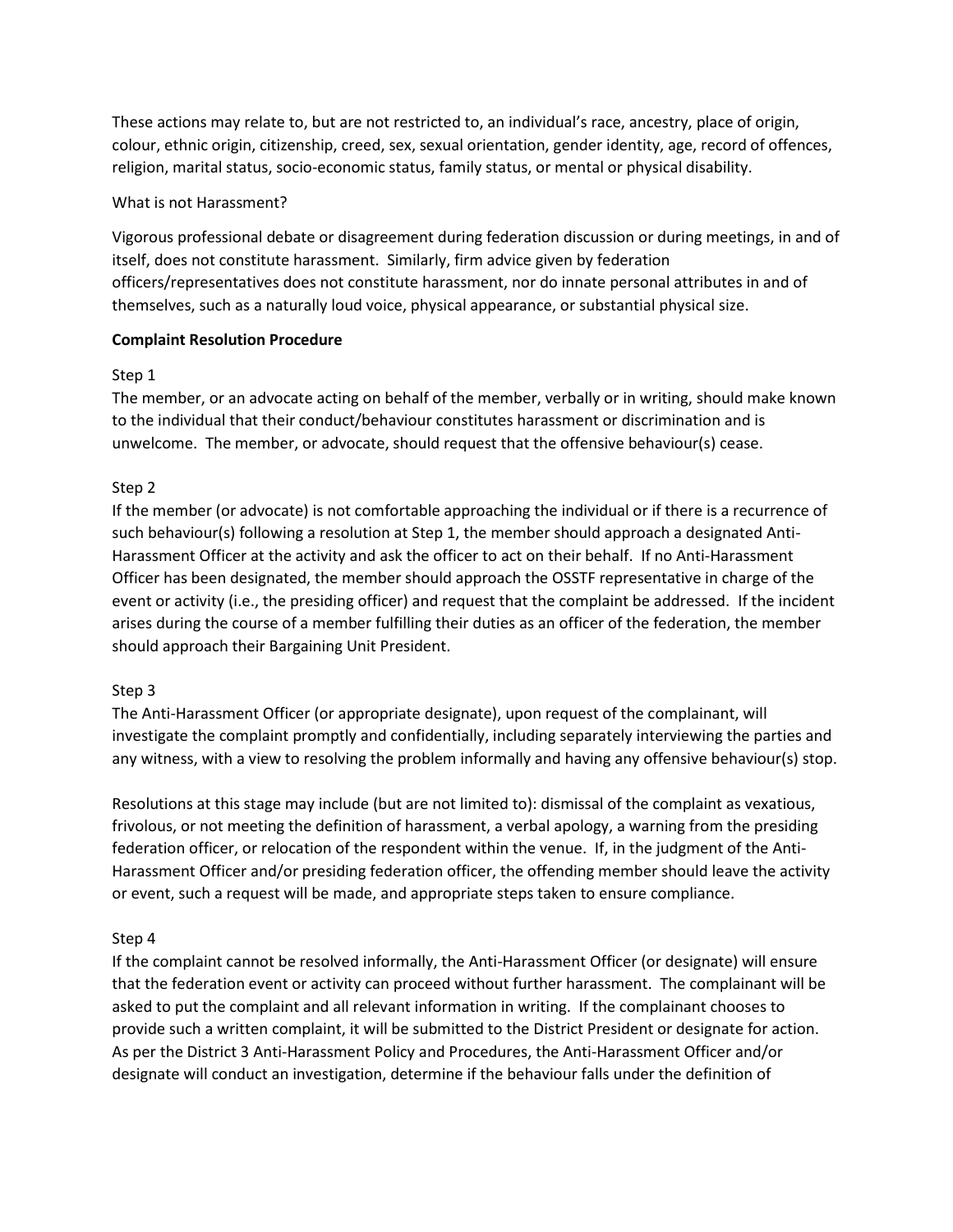These actions may relate to, but are not restricted to, an individual's race, ancestry, place of origin, colour, ethnic origin, citizenship, creed, sex, sexual orientation, gender identity, age, record of offences, religion, marital status, socio-economic status, family status, or mental or physical disability.

#### What is not Harassment?

Vigorous professional debate or disagreement during federation discussion or during meetings, in and of itself, does not constitute harassment. Similarly, firm advice given by federation officers/representatives does not constitute harassment, nor do innate personal attributes in and of themselves, such as a naturally loud voice, physical appearance, or substantial physical size.

#### **Complaint Resolution Procedure**

#### Step 1

The member, or an advocate acting on behalf of the member, verbally or in writing, should make known to the individual that their conduct/behaviour constitutes harassment or discrimination and is unwelcome. The member, or advocate, should request that the offensive behaviour(s) cease.

#### Step 2

If the member (or advocate) is not comfortable approaching the individual or if there is a recurrence of such behaviour(s) following a resolution at Step 1, the member should approach a designated Anti-Harassment Officer at the activity and ask the officer to act on their behalf. If no Anti-Harassment Officer has been designated, the member should approach the OSSTF representative in charge of the event or activity (i.e., the presiding officer) and request that the complaint be addressed. If the incident arises during the course of a member fulfilling their duties as an officer of the federation, the member should approach their Bargaining Unit President.

#### Step 3

The Anti-Harassment Officer (or appropriate designate), upon request of the complainant, will investigate the complaint promptly and confidentially, including separately interviewing the parties and any witness, with a view to resolving the problem informally and having any offensive behaviour(s) stop.

Resolutions at this stage may include (but are not limited to): dismissal of the complaint as vexatious, frivolous, or not meeting the definition of harassment, a verbal apology, a warning from the presiding federation officer, or relocation of the respondent within the venue. If, in the judgment of the Anti-Harassment Officer and/or presiding federation officer, the offending member should leave the activity or event, such a request will be made, and appropriate steps taken to ensure compliance.

#### Step 4

If the complaint cannot be resolved informally, the Anti-Harassment Officer (or designate) will ensure that the federation event or activity can proceed without further harassment. The complainant will be asked to put the complaint and all relevant information in writing. If the complainant chooses to provide such a written complaint, it will be submitted to the District President or designate for action. As per the District 3 Anti-Harassment Policy and Procedures, the Anti-Harassment Officer and/or designate will conduct an investigation, determine if the behaviour falls under the definition of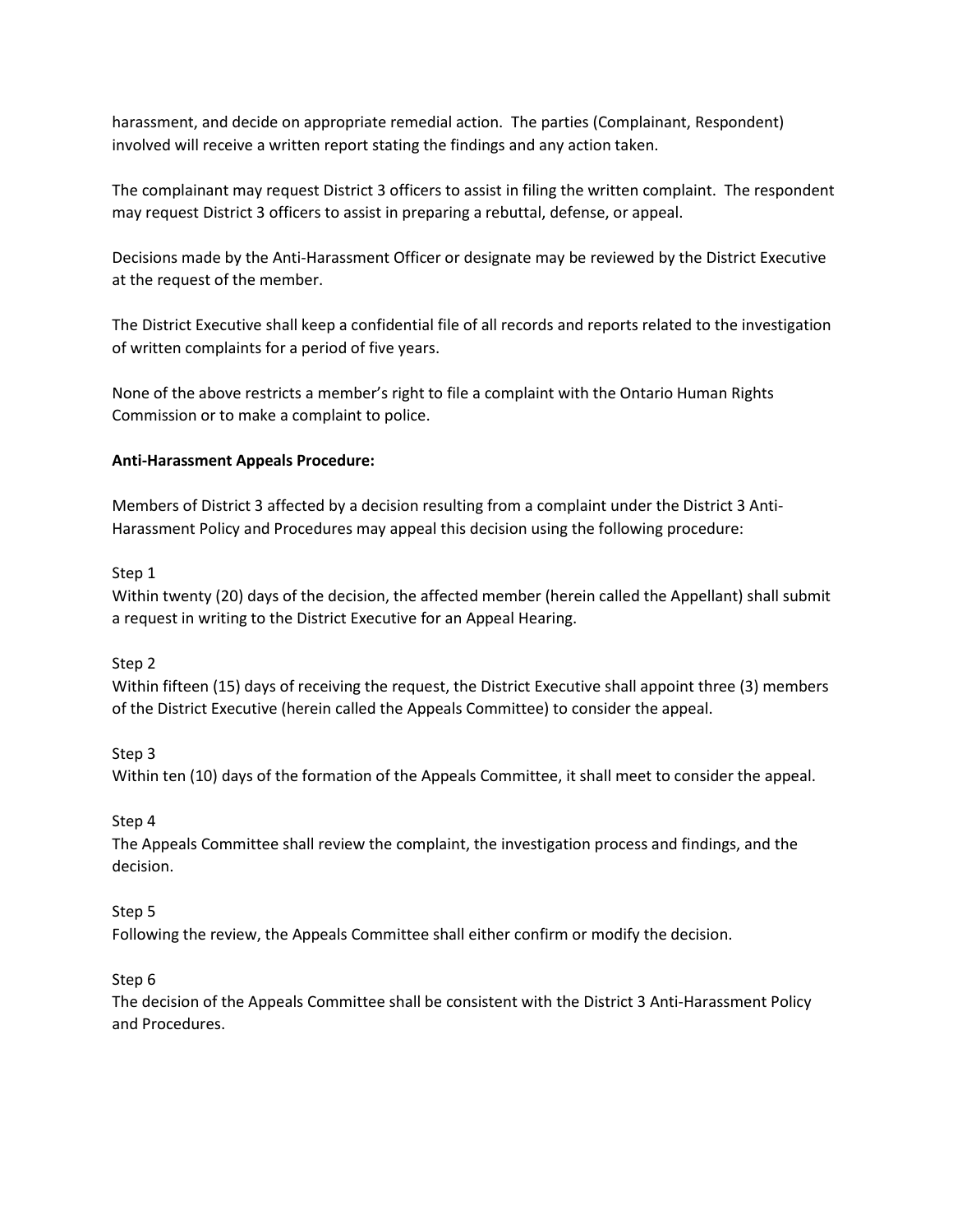harassment, and decide on appropriate remedial action. The parties (Complainant, Respondent) involved will receive a written report stating the findings and any action taken.

The complainant may request District 3 officers to assist in filing the written complaint. The respondent may request District 3 officers to assist in preparing a rebuttal, defense, or appeal.

Decisions made by the Anti-Harassment Officer or designate may be reviewed by the District Executive at the request of the member.

The District Executive shall keep a confidential file of all records and reports related to the investigation of written complaints for a period of five years.

None of the above restricts a member's right to file a complaint with the Ontario Human Rights Commission or to make a complaint to police.

#### **Anti-Harassment Appeals Procedure:**

Members of District 3 affected by a decision resulting from a complaint under the District 3 Anti-Harassment Policy and Procedures may appeal this decision using the following procedure:

#### Step 1

Within twenty (20) days of the decision, the affected member (herein called the Appellant) shall submit a request in writing to the District Executive for an Appeal Hearing.

#### Step 2

Within fifteen (15) days of receiving the request, the District Executive shall appoint three (3) members of the District Executive (herein called the Appeals Committee) to consider the appeal.

Step 3

Within ten (10) days of the formation of the Appeals Committee, it shall meet to consider the appeal.

#### Step 4

The Appeals Committee shall review the complaint, the investigation process and findings, and the decision.

#### Step 5

Following the review, the Appeals Committee shall either confirm or modify the decision.

#### Step 6

The decision of the Appeals Committee shall be consistent with the District 3 Anti-Harassment Policy and Procedures.